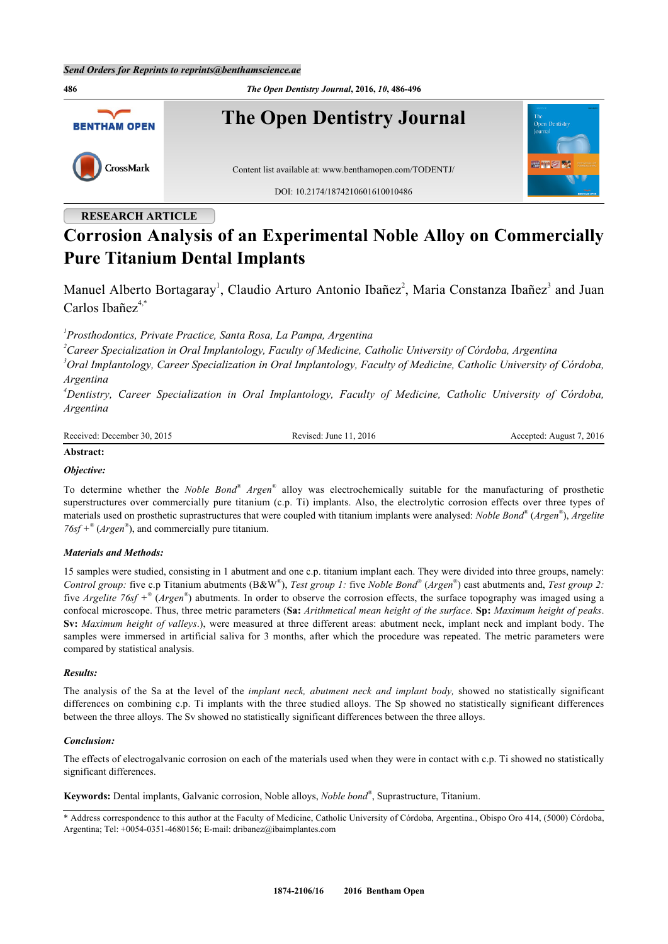

## **RESEARCH ARTICLE**

# **Corrosion Analysis of an Experimental Noble Alloy on Commercially Pure Titanium Dental Implants**

Manuel Alberto Bortagaray<sup>[1](#page-0-0)</sup>, Claudio Arturo Antonio Ibañez<sup>[2](#page-0-1)</sup>, Maria Constanza Ibañez<sup>[3](#page-0-2)</sup> and Juan Carlos Ibañez $4$ <sup>[\\*](#page-0-4)</sup>

<span id="page-0-0"></span>*1 Prosthodontics, Private Practice, Santa Rosa, La Pampa, Argentina*

<span id="page-0-1"></span>*<sup>2</sup>Career Specialization in Oral Implantology, Faculty of Medicine, Catholic University of Córdoba, Argentina*

<span id="page-0-2"></span>*<sup>3</sup>Oral Implantology, Career Specialization in Oral Implantology, Faculty of Medicine, Catholic University of Córdoba, Argentina*

<span id="page-0-3"></span>*<sup>4</sup>Dentistry, Career Specialization in Oral Implantology, Faculty of Medicine, Catholic University of Córdoba, Argentina*

Received: December 30, 2015 Revised: June 11, 2016 Revised: June 11, 2016 Accepted: August 7, 2016

## **Abstract:**

## *Objective:*

To determine whether the *Noble Bond*<sup>®</sup> Argen<sup>®</sup> alloy was electrochemically suitable for the manufacturing of prosthetic superstructures over commercially pure titanium (c.p. Ti) implants. Also, the electrolytic corrosion effects over three types of materials used on prosthetic suprastructures that were coupled with titanium implants were analysed: *Noble Bond®* (*Argen®* ), *Argelite 76sf +®* (*Argen®* ), and commercially pure titanium.

## *Materials and Methods:*

15 samples were studied, consisting in 1 abutment and one c.p. titanium implant each. They were divided into three groups, namely: *Control group:* five c.p Titanium abutments (B&W® ), *Test group 1:* five *Noble Bond®* (*Argen®* ) cast abutments and, *Test group 2:* five *Argelite 76sf +®* (*Argen®* ) abutments. In order to observe the corrosion effects, the surface topography was imaged using a confocal microscope. Thus, three metric parameters (**Sa:** *Arithmetical mean height of the surface*. **Sp:** *Maximum height of peaks*. **Sv:** *Maximum height of valleys*.), were measured at three different areas: abutment neck, implant neck and implant body. The samples were immersed in artificial saliva for 3 months, after which the procedure was repeated. The metric parameters were compared by statistical analysis.

## *Results:*

The analysis of the Sa at the level of the *implant neck, abutment neck and implant body,* showed no statistically significant differences on combining c.p. Ti implants with the three studied alloys. The Sp showed no statistically significant differences between the three alloys. The Sv showed no statistically significant differences between the three alloys.

## *Conclusion:*

The effects of electrogalvanic corrosion on each of the materials used when they were in contact with c.p. Ti showed no statistically significant differences.

**Keywords:** Dental implants, Galvanic corrosion, Noble alloys, *Noble bond®* , Suprastructure, Titanium.

<span id="page-0-4"></span>\* Address correspondence to this author at the Faculty of Medicine, Catholic University of Córdoba, Argentina., Obispo Oro 414, (5000) Córdoba, Argentina; Tel: +0054-0351-4680156; E-mail: [dribanez@ibaimplantes.com](mailto:dribanez@ibaimplantes.com)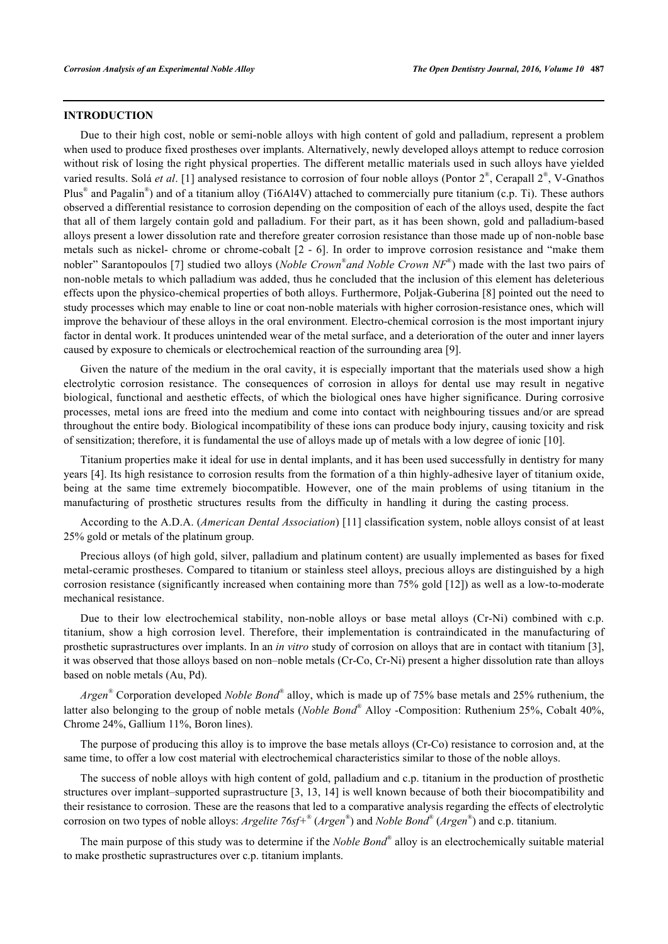#### **INTRODUCTION**

Due to their high cost, noble or semi-noble alloys with high content of gold and palladium, represent a problem when used to produce fixed prostheses over implants. Alternatively, newly developed alloys attempt to reduce corrosion without risk of losing the right physical properties. The different metallic materials used in such alloys have yielded varied results. Solá *et al.* [[1](#page-9-0)] analysed resistance to corrosion of four noble alloys (Pontor  $2^{\infty}$ , Cerapall  $2^{\infty}$ , V-Gnathos Plus<sup>®</sup> and Pagalin<sup>®</sup>) and of a titanium alloy (Ti6Al4V) attached to commercially pure titanium (c.p. Ti). These authors observed a differential resistance to corrosion depending on the composition of each of the alloys used, despite the fact that all of them largely contain gold and palladium. For their part, as it has been shown, gold and palladium-based alloys present a lower dissolution rate and therefore greater corrosion resistance than those made up of non-noble base metals such as nickel- chrome or chrome-cobalt [[2](#page-9-1) - [6](#page-9-2)]. In order to improve corrosion resistance and "make them nobler" Sarantopoulos [[7\]](#page-9-3) studied two alloys (*Noble Crown*® *and Noble Crown NF*® ) made with the last two pairs of non-noble metals to which palladium was added, thus he concluded that the inclusion of this element has deleterious effects upon the physico-chemical properties of both alloys. Furthermore, Poljak-Guberina [\[8](#page-9-4)] pointed out the need to study processes which may enable to line or coat non-noble materials with higher corrosion-resistance ones, which will improve the behaviour of these alloys in the oral environment. Electro-chemical corrosion is the most important injury factor in dental work. It produces unintended wear of the metal surface, and a deterioration of the outer and inner layers caused by exposure to chemicals or electrochemical reaction of the surrounding area [\[9](#page-9-5)].

Given the nature of the medium in the oral cavity, it is especially important that the materials used show a high electrolytic corrosion resistance. The consequences of corrosion in alloys for dental use may result in negative biological, functional and aesthetic effects, of which the biological ones have higher significance. During corrosive processes, metal ions are freed into the medium and come into contact with neighbouring tissues and/or are spread throughout the entire body. Biological incompatibility of these ions can produce body injury, causing toxicity and risk of sensitization; therefore, it is fundamental the use of alloys made up of metals with a low degree of ionic [\[10](#page-9-6)].

Titanium properties make it ideal for use in dental implants, and it has been used successfully in dentistry for many years [\[4](#page-9-7)]. Its high resistance to corrosion results from the formation of a thin highly-adhesive layer of titanium oxide, being at the same time extremely biocompatible. However, one of the main problems of using titanium in the manufacturing of prosthetic structures results from the difficulty in handling it during the casting process.

According to the A.D.A. (*American Dental Association*) [[11\]](#page-9-8) classification system, noble alloys consist of at least 25% gold or metals of the platinum group.

Precious alloys (of high gold, silver, palladium and platinum content) are usually implemented as bases for fixed metal-ceramic prostheses. Compared to titanium or stainless steel alloys, precious alloys are distinguished by a high corrosion resistance (significantly increased when containing more than 75% gold [\[12\]](#page-9-9)) as well as a low-to-moderate mechanical resistance.

Due to their low electrochemical stability, non-noble alloys or base metal alloys (Cr-Ni) combined with c.p. titanium, show a high corrosion level. Therefore, their implementation is contraindicated in the manufacturing of prosthetic suprastructures over implants. In an *in vitro* study of corrosion on alloys that are in contact with titanium [[3\]](#page-9-10), it was observed that those alloys based on non–noble metals (Cr-Co, Cr-Ni) present a higher dissolution rate than alloys based on noble metals (Au, Pd).

*Argen®* Corporation developed *Noble Bond®* alloy, which is made up of 75% base metals and 25% ruthenium, the latter also belonging to the group of noble metals (*Noble Bond®* Alloy -Composition: Ruthenium 25%, Cobalt 40%, Chrome 24%, Gallium 11%, Boron lines).

The purpose of producing this alloy is to improve the base metals alloys (Cr-Co) resistance to corrosion and, at the same time, to offer a low cost material with electrochemical characteristics similar to those of the noble alloys.

The success of noble alloys with high content of gold, palladium and c.p. titanium in the production of prosthetic structures over implant–supported suprastructure [[3,](#page-9-10) [13](#page-9-11), [14\]](#page-9-12) is well known because of both their biocompatibility and their resistance to corrosion. These are the reasons that led to a comparative analysis regarding the effects of electrolytic corrosion on two types of noble alloys: *Argelite 76sf+®* (*Argen®* ) and *Noble Bond®* (*Argen®* ) and c.p. titanium.

The main purpose of this study was to determine if the *Noble Bond®* alloy is an electrochemically suitable material to make prosthetic suprastructures over c.p. titanium implants.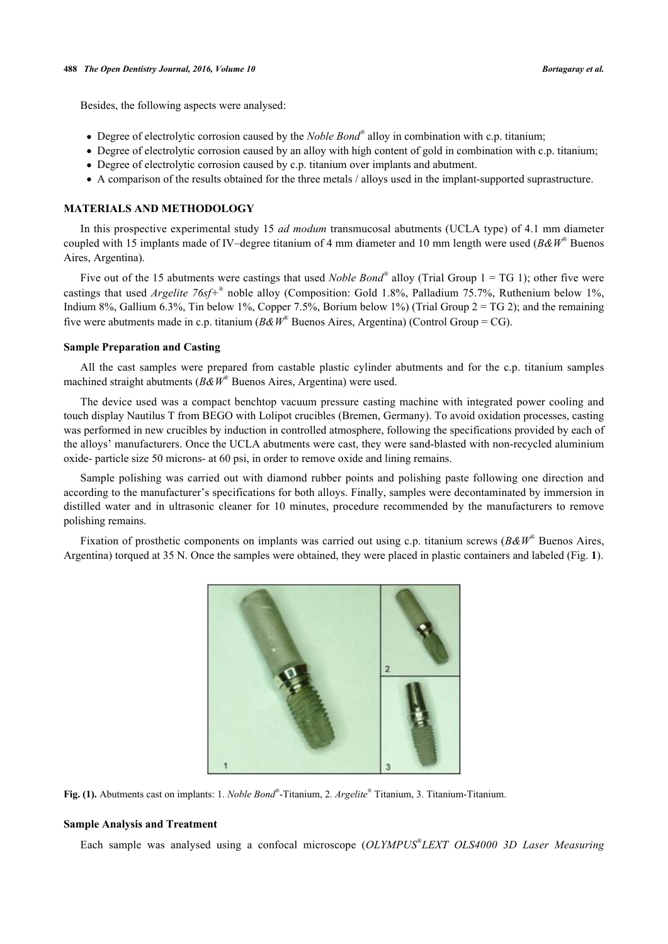Besides, the following aspects were analysed:

- Degree of electrolytic corrosion caused by the *Noble Bond®* alloy in combination with c.p. titanium;
- Degree of electrolytic corrosion caused by an alloy with high content of gold in combination with c.p. titanium;
- Degree of electrolytic corrosion caused by c.p. titanium over implants and abutment.
- A comparison of the results obtained for the three metals / alloys used in the implant-supported suprastructure.

## **MATERIALS AND METHODOLOGY**

In this prospective experimental study 15 *ad modum* transmucosal abutments (UCLA type) of 4.1 mm diameter coupled with 15 implants made of IV–degree titanium of 4 mm diameter and 10 mm length were used (*B&W*® Buenos Aires, Argentina).

Five out of the 15 abutments were castings that used *Noble Bond*<sup>®</sup> alloy (Trial Group 1 = TG 1); other five were castings that used *Argelite 76sf+*® noble alloy (Composition: Gold 1.8%, Palladium 75.7%, Ruthenium below 1%, Indium 8%, Gallium 6.3%, Tin below 1%, Copper 7.5%, Borium below 1%) (Trial Group  $2 = TG$  2); and the remaining five were abutments made in c.p. titanium ( $B\&W^*$  Buenos Aires, Argentina) (Control Group = CG).

#### **Sample Preparation and Casting**

All the cast samples were prepared from castable plastic cylinder abutments and for the c.p. titanium samples machined straight abutments (*B&W*® Buenos Aires, Argentina) were used.

The device used was a compact benchtop vacuum pressure casting machine with integrated power cooling and touch display Nautilus T from BEGO with Lolipot crucibles (Bremen, Germany). To avoid oxidation processes, casting was performed in new crucibles by induction in controlled atmosphere, following the specifications provided by each of the alloys' manufacturers. Once the UCLA abutments were cast, they were sand-blasted with non-recycled aluminium oxide- particle size 50 microns- at 60 psi, in order to remove oxide and lining remains.

Sample polishing was carried out with diamond rubber points and polishing paste following one direction and according to the manufacturer's specifications for both alloys. Finally, samples were decontaminated by immersion in distilled water and in ultrasonic cleaner for 10 minutes, procedure recommended by the manufacturers to remove polishing remains.

Fixation of prosthetic components on implants was carried out using c.p. titanium screws (*B&W*® Buenos Aires, Argentina) torqued at 35 N. Once the samples were obtained, they were placed in plastic containers and labeled (Fig. **[1](#page-2-0)**).

<span id="page-2-0"></span>

**Fig. (1).** Abutments cast on implants: 1. *Noble Bond®* -Titanium, 2. *Argelite*® Titanium, 3. Titanium-Titanium.

#### **Sample Analysis and Treatment**

Each sample was analysed using a confocal microscope (*OLYMPUS® LEXT OLS4000 3D Laser Measuring*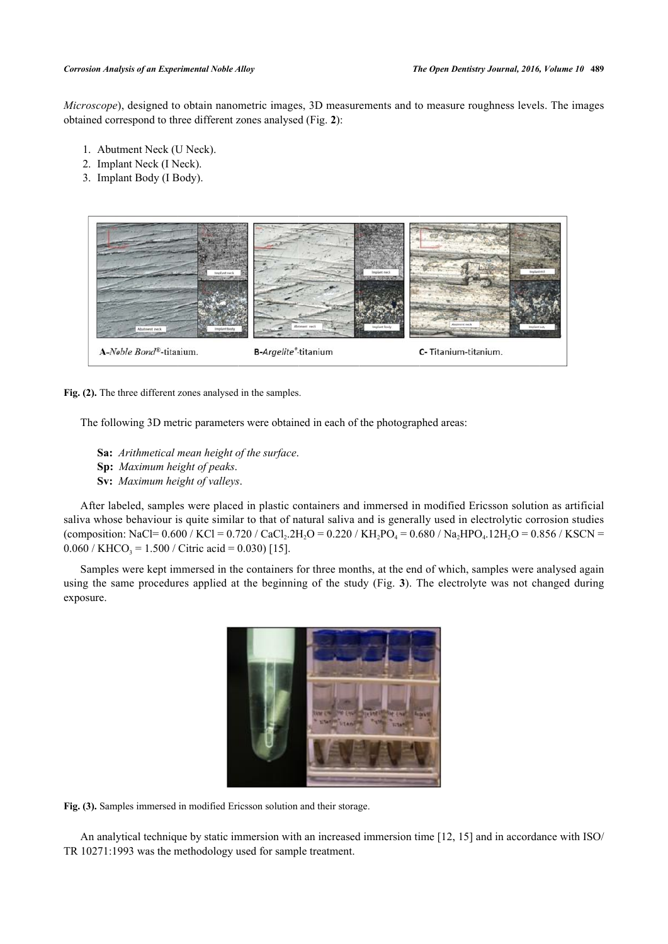*Microscope*), designed to obtain nanometric images, 3D measurements and to measure roughness levels. The images obtained correspond to three different zones analysed (Fig. **[2](#page-3-0)**):

- 1. Abutment Neck (U Neck).
- 2. Implant Neck (I Neck).
- 3. Implant Body (I Body).

<span id="page-3-0"></span>

Fig. (2). The three different zones analysed in the samples.

The following 3D metric parameters were obtained in each of the photographed areas:

- **Sa:** *Arithmetical mean height of the surface*. **Sp:** *Maximum height of peaks*.
- **Sv:** *Maximum height of valleys*.

After labeled, samples were placed in plastic containers and immersed in modified Ericsson solution as artificial saliva whose behaviour is quite similar to that of natural saliva and is generally used in electrolytic corrosion studies (composition: NaCl= 0.600 / KCl = 0.720 / CaCl<sub>2</sub>.2H<sub>2</sub>O = 0.220 / KH<sub>2</sub>PO<sub>4</sub> = 0.680 / Na<sub>2</sub>HPO<sub>4</sub>.12H<sub>2</sub>O = 0.856 / KSCN =  $0.060 /$  KHCO<sub>3</sub> = 1.500 / Citric acid = 0.030) [\[15](#page-10-0)].

<span id="page-3-1"></span>Samples were kept immersed in the containers for three months, at the end of which, samples were analysed again using the same procedures applied at the beginning of the study (Fig. **[3](#page-3-1)**). The electrolyte was not changed during exposure.



**Fig. (3).** Samples immersed in modified Ericsson solution and their storage.

An analytical technique by static immersion with an increased immersion time [\[12](#page-9-9), [15](#page-10-0)] and in accordance with ISO/ TR 10271:1993 was the methodology used for sample treatment.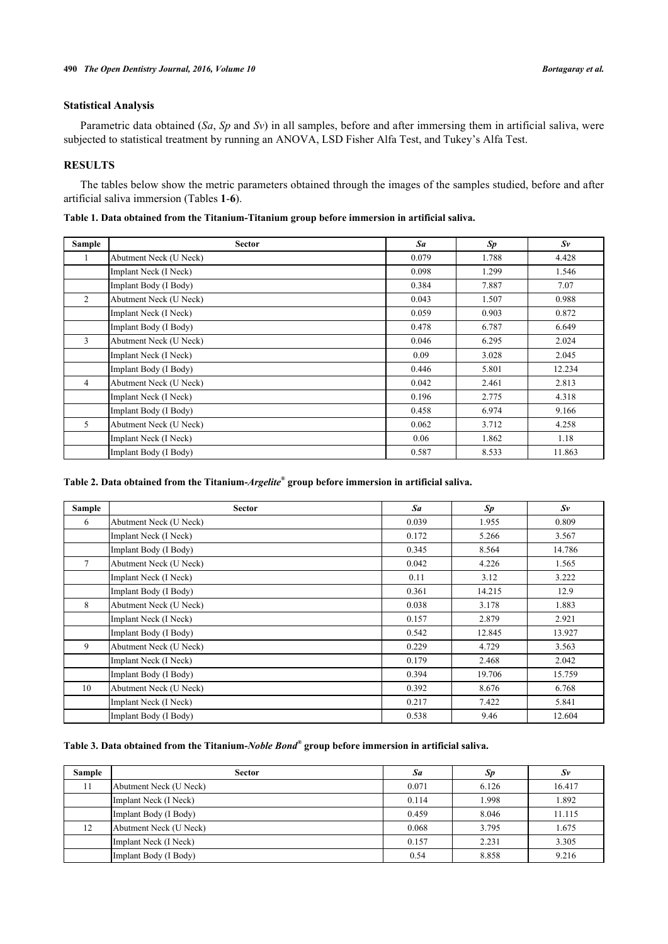## **Statistical Analysis**

Parametric data obtained (*Sa*, *Sp* and *Sv*) in all samples, before and after immersing them in artificial saliva, were subjected to statistical treatment by running an ANOVA, LSD Fisher Alfa Test, and Tukey's Alfa Test.

## **RESULTS**

The tables below show the metric parameters obtained through the images of the samples studied, before and after artificial saliva immersion (Tables **[1](#page-4-0)**-**[6](#page-5-0)**).

<span id="page-4-0"></span>

|  |  |  |  | Table 1. Data obtained from the Titanium-Titanium group before immersion in artificial saliva. |  |  |
|--|--|--|--|------------------------------------------------------------------------------------------------|--|--|
|  |  |  |  |                                                                                                |  |  |

| Sample         | <b>Sector</b>          | Sa    | Sp    | $S_{V}$ |
|----------------|------------------------|-------|-------|---------|
|                | Abutment Neck (U Neck) | 0.079 | 1.788 | 4.428   |
|                | Implant Neck (I Neck)  | 0.098 | 1.299 | 1.546   |
|                | Implant Body (I Body)  | 0.384 | 7.887 | 7.07    |
| $\overline{2}$ | Abutment Neck (U Neck) | 0.043 | 1.507 | 0.988   |
|                | Implant Neck (I Neck)  | 0.059 | 0.903 | 0.872   |
|                | Implant Body (I Body)  | 0.478 | 6.787 | 6.649   |
| 3              | Abutment Neck (U Neck) | 0.046 | 6.295 | 2.024   |
|                | Implant Neck (I Neck)  | 0.09  | 3.028 | 2.045   |
|                | Implant Body (I Body)  | 0.446 | 5.801 | 12.234  |
| $\overline{4}$ | Abutment Neck (U Neck) | 0.042 | 2.461 | 2.813   |
|                | Implant Neck (I Neck)  | 0.196 | 2.775 | 4.318   |
|                | Implant Body (I Body)  | 0.458 | 6.974 | 9.166   |
| 5              | Abutment Neck (U Neck) | 0.062 | 3.712 | 4.258   |
|                | Implant Neck (I Neck)  | 0.06  | 1.862 | 1.18    |
|                | Implant Body (I Body)  | 0.587 | 8.533 | 11.863  |

## **Table 2. Data obtained from the Titanium-***Argelite®*  **group before immersion in artificial saliva.**

| Sample | <b>Sector</b>          | Sa    | Sp     | $S_{V}$ |
|--------|------------------------|-------|--------|---------|
| 6      | Abutment Neck (U Neck) | 0.039 | 1.955  | 0.809   |
|        | Implant Neck (I Neck)  | 0.172 | 5.266  | 3.567   |
|        | Implant Body (I Body)  | 0.345 | 8.564  | 14.786  |
| $\tau$ | Abutment Neck (U Neck) | 0.042 | 4.226  | 1.565   |
|        | Implant Neck (I Neck)  | 0.11  | 3.12   | 3.222   |
|        | Implant Body (I Body)  | 0.361 | 14.215 | 12.9    |
| 8      | Abutment Neck (U Neck) | 0.038 | 3.178  | 1.883   |
|        | Implant Neck (I Neck)  | 0.157 | 2.879  | 2.921   |
|        | Implant Body (I Body)  | 0.542 | 12.845 | 13.927  |
| 9      | Abutment Neck (U Neck) | 0.229 | 4.729  | 3.563   |
|        | Implant Neck (I Neck)  | 0.179 | 2.468  | 2.042   |
|        | Implant Body (I Body)  | 0.394 | 19.706 | 15.759  |
| 10     | Abutment Neck (U Neck) | 0.392 | 8.676  | 6.768   |
|        | Implant Neck (I Neck)  | 0.217 | 7.422  | 5.841   |
|        | Implant Body (I Body)  | 0.538 | 9.46   | 12.604  |

## **Table 3. Data obtained from the Titanium-***Noble Bond®*  **group before immersion in artificial saliva.**

| Sample | <b>Sector</b>          | Sa    | Sp    | Sν     |
|--------|------------------------|-------|-------|--------|
| 11     | Abutment Neck (U Neck) | 0.071 | 6.126 | 16.417 |
|        | Implant Neck (I Neck)  | 0.114 | 1.998 | 1.892  |
|        | Implant Body (I Body)  | 0.459 | 8.046 | 11.115 |
| 12     | Abutment Neck (U Neck) | 0.068 | 3.795 | 1.675  |
|        | Implant Neck (I Neck)  | 0.157 | 2.231 | 3.305  |
|        | Implant Body (I Body)  | 0.54  | 8.858 | 9.216  |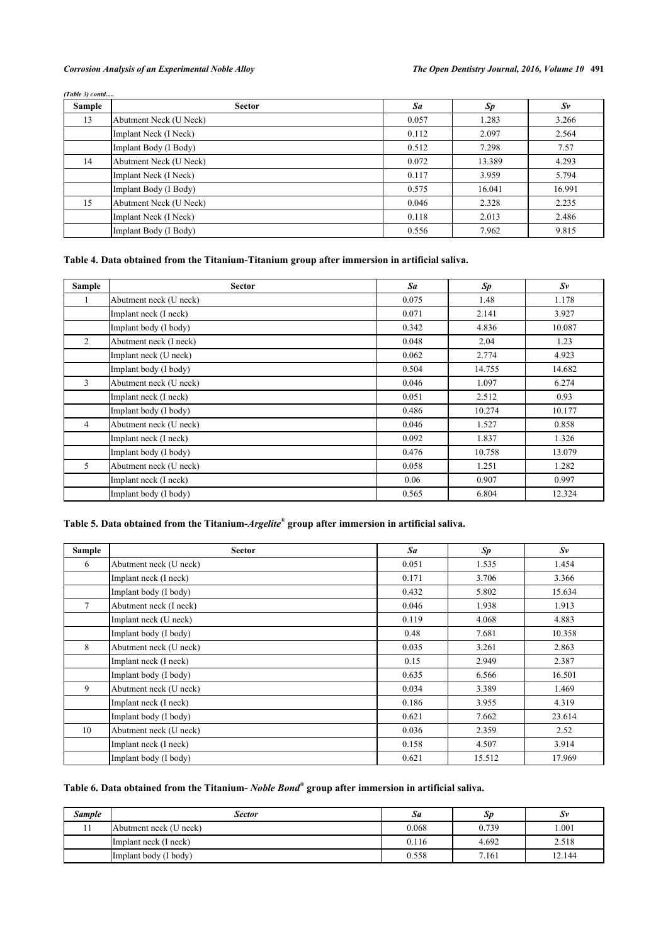## *Corrosion Analysis of an Experimental Noble Alloy The Open Dentistry Journal, 2016, Volume 10* **491**

|        | (Table 3) contd        |       |        |             |  |  |  |
|--------|------------------------|-------|--------|-------------|--|--|--|
| Sample | <b>Sector</b>          | Sa    | Sp     | $S_{\rm V}$ |  |  |  |
| 13     | Abutment Neck (U Neck) | 0.057 | 1.283  | 3.266       |  |  |  |
|        | Implant Neck (I Neck)  | 0.112 | 2.097  | 2.564       |  |  |  |
|        | Implant Body (I Body)  | 0.512 | 7.298  | 7.57        |  |  |  |
| 14     | Abutment Neck (U Neck) | 0.072 | 13.389 | 4.293       |  |  |  |
|        | Implant Neck (I Neck)  | 0.117 | 3.959  | 5.794       |  |  |  |
|        | Implant Body (I Body)  | 0.575 | 16.041 | 16.991      |  |  |  |
| 15     | Abutment Neck (U Neck) | 0.046 | 2.328  | 2.235       |  |  |  |
|        | Implant Neck (I Neck)  | 0.118 | 2.013  | 2.486       |  |  |  |
|        | Implant Body (I Body)  | 0.556 | 7.962  | 9.815       |  |  |  |

## **Table 4. Data obtained from the Titanium-Titanium group after immersion in artificial saliva.**

| Sample         | <b>Sector</b>          | Sa    | Sp     | $S_{V}$ |
|----------------|------------------------|-------|--------|---------|
| $\perp$        | Abutment neck (U neck) | 0.075 | 1.48   | 1.178   |
|                | Implant neck (I neck)  | 0.071 | 2.141  | 3.927   |
|                | Implant body (I body)  | 0.342 | 4.836  | 10.087  |
| 2              | Abutment neck (I neck) | 0.048 | 2.04   | 1.23    |
|                | Implant neck (U neck)  | 0.062 | 2.774  | 4.923   |
|                | Implant body (I body)  | 0.504 | 14.755 | 14.682  |
| 3              | Abutment neck (U neck) | 0.046 | 1.097  | 6.274   |
|                | Implant neck (I neck)  | 0.051 | 2.512  | 0.93    |
|                | Implant body (I body)  | 0.486 | 10.274 | 10.177  |
| $\overline{4}$ | Abutment neck (U neck) | 0.046 | 1.527  | 0.858   |
|                | Implant neck (I neck)  | 0.092 | 1.837  | 1.326   |
|                | Implant body (I body)  | 0.476 | 10.758 | 13.079  |
| 5              | Abutment neck (U neck) | 0.058 | 1.251  | 1.282   |
|                | Implant neck (I neck)  | 0.06  | 0.907  | 0.997   |
|                | Implant body (I body)  | 0.565 | 6.804  | 12.324  |

## **Table 5. Data obtained from the Titanium-***Argelite***® group after immersion in artificial saliva.**

| Sample | <b>Sector</b>          | Sa    | Sp     | $S_{V}$ |
|--------|------------------------|-------|--------|---------|
| 6      | Abutment neck (U neck) | 0.051 | 1.535  | 1.454   |
|        | Implant neck (I neck)  | 0.171 | 3.706  | 3.366   |
|        | Implant body (I body)  | 0.432 | 5.802  | 15.634  |
| 7      | Abutment neck (I neck) | 0.046 | 1.938  | 1.913   |
|        | Implant neck (U neck)  | 0.119 | 4.068  | 4.883   |
|        | Implant body (I body)  | 0.48  | 7.681  | 10.358  |
| 8      | Abutment neck (U neck) | 0.035 | 3.261  | 2.863   |
|        | Implant neck (I neck)  | 0.15  | 2.949  | 2.387   |
|        | Implant body (I body)  | 0.635 | 6.566  | 16.501  |
| 9      | Abutment neck (U neck) | 0.034 | 3.389  | 1.469   |
|        | Implant neck (I neck)  | 0.186 | 3.955  | 4.319   |
|        | Implant body (I body)  | 0.621 | 7.662  | 23.614  |
| 10     | Abutment neck (U neck) | 0.036 | 2.359  | 2.52    |
|        | Implant neck (I neck)  | 0.158 | 4.507  | 3.914   |
|        | Implant body (I body)  | 0.621 | 15.512 | 17.969  |

#### <span id="page-5-0"></span>**Table 6. Data obtained from the Titanium-** *Noble Bond®*  **group after immersion in artificial saliva.**

| Sample | <b>Sector</b>          | Sa    | Sp    | Sv     |
|--------|------------------------|-------|-------|--------|
|        | Abutment neck (U neck) | 0.068 | 0.739 | .001   |
|        | Implant neck (I neck)  | 0.116 | 4.692 | 2.518  |
|        | (Implant body (I body) | 0.558 | 7.161 | 12.144 |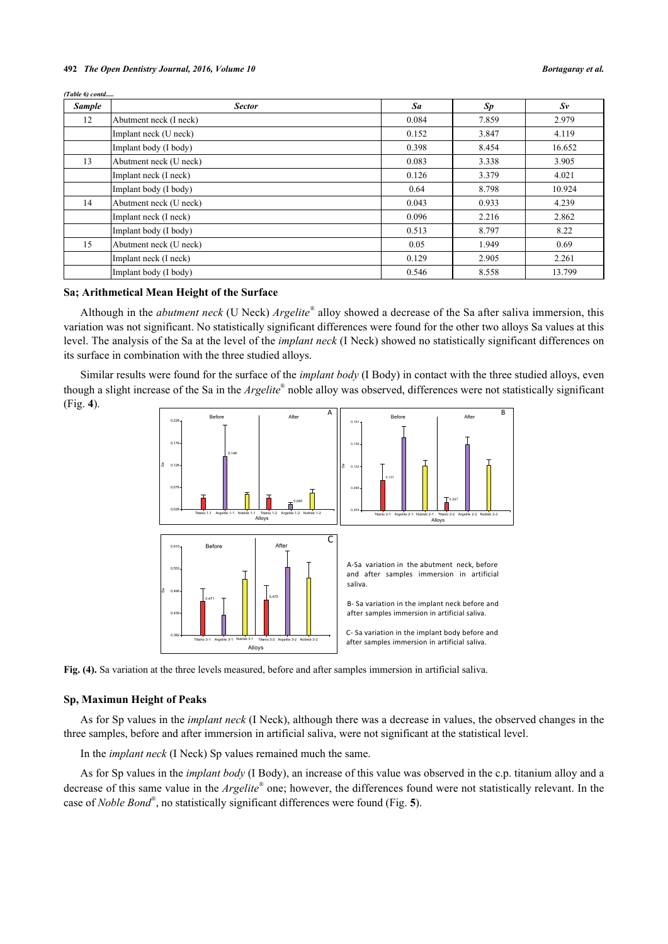#### **492** *The Open Dentistry Journal, 2016, Volume 10 Bortagaray et al.*

*(Table 6) contd.....*

| <b>Sample</b> | <b>Sector</b>          | Sa    | Sp    | $S_{\nu}$ |
|---------------|------------------------|-------|-------|-----------|
| 12            | Abutment neck (I neck) | 0.084 | 7.859 | 2.979     |
|               | Implant neck (U neck)  | 0.152 | 3.847 | 4.119     |
|               | Implant body (I body)  | 0.398 | 8.454 | 16.652    |
| 13            | Abutment neck (U neck) | 0.083 | 3.338 | 3.905     |
|               | Implant neck (I neck)  | 0.126 | 3.379 | 4.021     |
|               | Implant body (I body)  | 0.64  | 8.798 | 10.924    |
| 14            | Abutment neck (U neck) | 0.043 | 0.933 | 4.239     |
|               | Implant neck (I neck)  | 0.096 | 2.216 | 2.862     |
|               | Implant body (I body)  | 0.513 | 8.797 | 8.22      |
| 15            | Abutment neck (U neck) | 0.05  | 1.949 | 0.69      |
|               | Implant neck (I neck)  | 0.129 | 2.905 | 2.261     |
|               | Implant body (I body)  | 0.546 | 8.558 | 13.799    |

## **Sa; Arithmetical Mean Height of the Surface**

Although in the *abutment neck* (U Neck) *Argelite®* alloy showed a decrease of the Sa after saliva immersion, this variation was not significant. No statistically significant differences were found for the other two alloys Sa values at this level. The analysis of the Sa at the level of the *implant neck* (I Neck) showed no statistically significant differences on its surface in combination with the three studied alloys.

<span id="page-6-0"></span>Similar results were found for the surface of the *implant body* (I Body) in contact with the three studied alloys, even though a slight increase of the Sa in the *Argelite*® noble alloy was observed, differences were not statistically significant (Fig. **[4](#page-6-0)**).



**Fig. (4).** Sa variation at the three levels measured, before and after samples immersion in artificial saliva.

#### **Sp, Maximun Height of Peaks**

As for Sp values in the *implant neck* (I Neck), although there was a decrease in values, the observed changes in the three samples, before and after immersion in artificial saliva, were not significant at the statistical level.

In the *implant neck* (I Neck) Sp values remained much the same.

<span id="page-6-1"></span>As for Sp values in the *implant body* (I Body), an increase of this value was observed in the c.p. titanium alloy and a decrease of this same value in the *Argelite*® one; however, the differences found were not statistically relevant. In the case of *Noble Bond®* , no statistically significant differences were found (Fig. **[5](#page-6-1)**).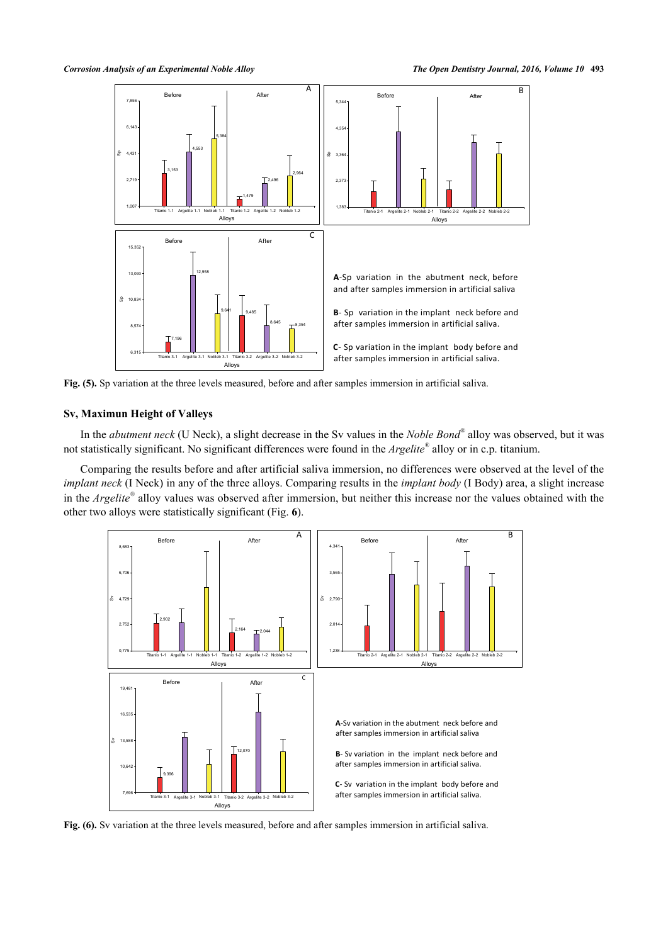

**Fig. (5).** Sp variation at the three levels measured, before and after samples immersion in artificial saliva.

## **Sv, Maximun Height of Valleys**

In the *abutment neck* (U Neck), a slight decrease in the Sv values in the *Noble Bond®* alloy was observed, but it was not statistically significant. No significant differences were found in the *Argelite®* alloy or in c.p. titanium.

Comparing the results before and after artificial saliva immersion, no differences were observed at the level of the *implant neck* (I Neck) in any of the three alloys. Comparing results in the *implant body* (I Body) area, a slight increase in the *Argelite®* alloy values was observed after immersion, but neither this increase nor the values obtained with the other two alloys were statistically significant (Fig. **[6](#page-7-0)**).

<span id="page-7-0"></span>

**Fig. (6).** Sv variation at the three levels measured, before and after samples immersion in artificial saliva.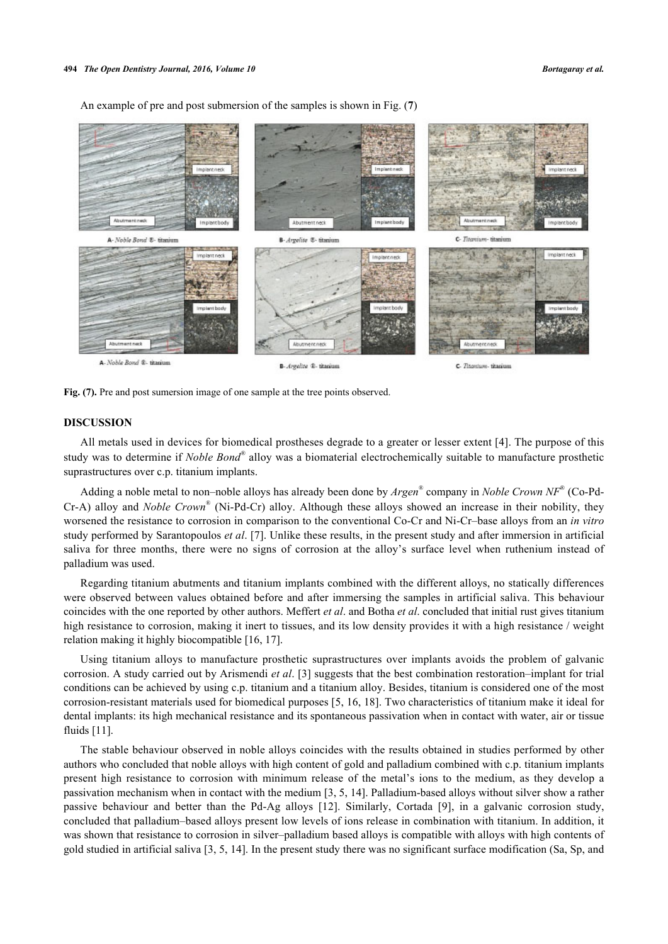An example of pre and post submersion of the samples is shown in Fig. (**[7](#page-8-0)**)

<span id="page-8-0"></span>

Fig. (7). Pre and post sumersion image of one sample at the tree points observed.

## **DISCUSSION**

All metals used in devices for biomedical prostheses degrade to a greater or lesser extent [[4\]](#page-9-7). The purpose of this study was to determine if *Noble Bond®* alloy was a biomaterial electrochemically suitable to manufacture prosthetic suprastructures over c.p. titanium implants.

Adding a noble metal to non–noble alloys has already been done by *Argen®* company in *Noble Crown NF*® (Co-Pd-Cr-A) alloy and *Noble Crown*® (Ni-Pd-Cr) alloy. Although these alloys showed an increase in their nobility, they worsened the resistance to corrosion in comparison to the conventional Co-Cr and Ni-Cr–base alloys from an *in vitro* study performed by Sarantopoulos *et al*. [[7\]](#page-9-3). Unlike these results, in the present study and after immersion in artificial saliva for three months, there were no signs of corrosion at the alloy's surface level when ruthenium instead of palladium was used.

Regarding titanium abutments and titanium implants combined with the different alloys, no statically differences were observed between values obtained before and after immersing the samples in artificial saliva. This behaviour coincides with the one reported by other authors. Meffert *et al*. and Botha *et al*. concluded that initial rust gives titanium high resistance to corrosion, making it inert to tissues, and its low density provides it with a high resistance / weight relation making it highly biocompatible [\[16](#page-10-1), [17](#page-10-2)].

Using titanium alloys to manufacture prosthetic suprastructures over implants avoids the problem of galvanic corrosion. A study carried out by Arismendi *et al*. [[3](#page-9-10)] suggests that the best combination restoration–implant for trial conditions can be achieved by using c.p. titanium and a titanium alloy. Besides, titanium is considered one of the most corrosion-resistant materials used for biomedical purposes [[5,](#page-9-13) [16](#page-10-1), [18](#page-10-3)]. Two characteristics of titanium make it ideal for dental implants: its high mechanical resistance and its spontaneous passivation when in contact with water, air or tissue fluids [\[11](#page-9-8)].

The stable behaviour observed in noble alloys coincides with the results obtained in studies performed by other authors who concluded that noble alloys with high content of gold and palladium combined with c.p. titanium implants present high resistance to corrosion with minimum release of the metal's ions to the medium, as they develop a passivation mechanism when in contact with the medium [\[3](#page-9-10), [5](#page-9-13), [14](#page-9-12)]. Palladium-based alloys without silver show a rather passive behaviour and better than the Pd-Ag alloys [\[12\]](#page-9-9). Similarly, Cortada[[9\]](#page-9-5), in a galvanic corrosion study, concluded that palladium–based alloys present low levels of ions release in combination with titanium. In addition, it was shown that resistance to corrosion in silver–palladium based alloys is compatible with alloys with high contents of gold studied in artificial saliva [\[3](#page-9-10), [5](#page-9-13), [14\]](#page-9-12). In the present study there was no significant surface modification (Sa, Sp, and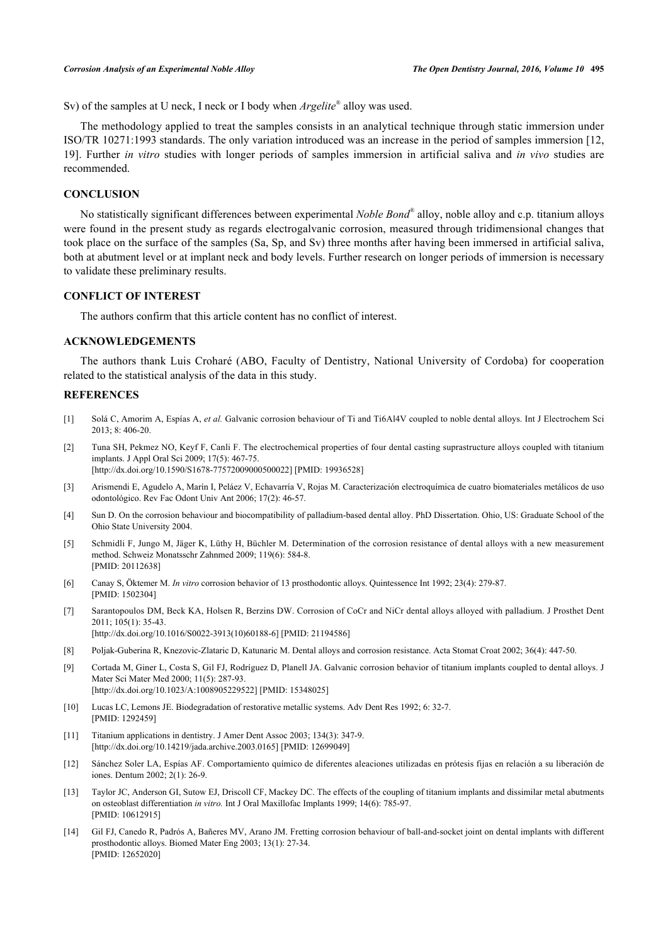Sv) of the samples at U neck, I neck or I body when *Argelite®* alloy was used.

The methodology applied to treat the samples consists in an analytical technique through static immersion under ISO/TR 10271:1993 standards. The only variation introduced was an increase in the period of samples immersion [[12](#page-9-9), [19\]](#page-10-4). Further *in vitro* studies with longer periods of samples immersion in artificial saliva and *in vivo* studies are recommended.

## **CONCLUSION**

No statistically significant differences between experimental *Noble Bond®* alloy, noble alloy and c.p. titanium alloys were found in the present study as regards electrogalvanic corrosion, measured through tridimensional changes that took place on the surface of the samples (Sa, Sp, and Sv) three months after having been immersed in artificial saliva, both at abutment level or at implant neck and body levels. Further research on longer periods of immersion is necessary to validate these preliminary results.

## **CONFLICT OF INTEREST**

The authors confirm that this article content has no conflict of interest.

## **ACKNOWLEDGEMENTS**

The authors thank Luis Croharé (ABO, Faculty of Dentistry, National University of Cordoba) for cooperation related to the statistical analysis of the data in this study.

#### **REFERENCES**

- <span id="page-9-0"></span>[1] Solá C, Amorim A, Espías A, *et al.* Galvanic corrosion behaviour of Ti and Ti6Al4V coupled to noble dental alloys. Int J Electrochem Sci 2013; 8: 406-20.
- <span id="page-9-1"></span>[2] Tuna SH, Pekmez NO, Keyf F, Canli F. The electrochemical properties of four dental casting suprastructure alloys coupled with titanium implants. J Appl Oral Sci 2009; 17(5): 467-75.

[\[http://dx.doi.org/10.1590/S1678-77572009000500022\]](http://dx.doi.org/10.1590/S1678-77572009000500022) [PMID: [19936528](http://www.ncbi.nlm.nih.gov/pubmed/19936528)]

- <span id="page-9-10"></span>[3] Arismendi E, Agudelo A, Marín I, Peláez V, Echavarría V, Rojas M. Caracterización electroquímica de cuatro biomateriales metálicos de uso odontológico. Rev Fac Odont Univ Ant 2006; 17(2): 46-57.
- <span id="page-9-7"></span>[4] Sun D. On the corrosion behaviour and biocompatibility of palladium-based dental alloy. PhD Dissertation. Ohio, US: Graduate School of the Ohio State University 2004.
- <span id="page-9-13"></span>[5] Schmidli F, Jungo M, Jäger K, Lüthy H, Büchler M. Determination of the corrosion resistance of dental alloys with a new measurement method. Schweiz Monatsschr Zahnmed 2009; 119(6): 584-8. [PMID: [20112638\]](http://www.ncbi.nlm.nih.gov/pubmed/20112638)
- <span id="page-9-2"></span>[6] Canay S, Öktemer M. *In vitro* corrosion behavior of 13 prosthodontic alloys. Quintessence Int 1992; 23(4): 279-87. [PMID: [1502304\]](http://www.ncbi.nlm.nih.gov/pubmed/1502304)
- <span id="page-9-3"></span>[7] Sarantopoulos DM, Beck KA, Holsen R, Berzins DW. Corrosion of CoCr and NiCr dental alloys alloyed with palladium. J Prosthet Dent 2011; 105(1): 35-43. [\[http://dx.doi.org/10.1016/S0022-3913\(10\)60188-6\]](http://dx.doi.org/10.1016/S0022-3913(10)60188-6) [PMID: [21194586](http://www.ncbi.nlm.nih.gov/pubmed/21194586)]
- <span id="page-9-4"></span>[8] Poljak-Guberina R, Knezovic-Zlataric D, Katunaric M. Dental alloys and corrosion resistance. Acta Stomat Croat 2002; 36(4): 447-50.
- <span id="page-9-5"></span>[9] Cortada M, Giner L, Costa S, Gil FJ, Rodríguez D, Planell JA. Galvanic corrosion behavior of titanium implants coupled to dental alloys. J Mater Sci Mater Med 2000; 11(5): 287-93. [\[http://dx.doi.org/10.1023/A:1008905229522\]](http://dx.doi.org/10.1023/A:1008905229522) [PMID: [15348025](http://www.ncbi.nlm.nih.gov/pubmed/15348025)]
- <span id="page-9-6"></span>[10] Lucas LC, Lemons JE. Biodegradation of restorative metallic systems. Adv Dent Res 1992; 6: 32-7. [PMID: [1292459\]](http://www.ncbi.nlm.nih.gov/pubmed/1292459)
- <span id="page-9-8"></span>[11] Titanium applications in dentistry. J Amer Dent Assoc 2003; 134(3): 347-9. [\[http://dx.doi.org/10.14219/jada.archive.2003.0165\]](http://dx.doi.org/10.14219/jada.archive.2003.0165) [PMID: [12699049](http://www.ncbi.nlm.nih.gov/pubmed/12699049)]
- <span id="page-9-9"></span>[12] Sánchez Soler LA, Espías AF. Comportamiento químico de diferentes aleaciones utilizadas en prótesis fijas en relación a su liberación de iones. Dentum 2002; 2(1): 26-9.
- <span id="page-9-11"></span>[13] Taylor JC, Anderson GI, Sutow EJ, Driscoll CF, Mackey DC. The effects of the coupling of titanium implants and dissimilar metal abutments on osteoblast differentiation *in vitro.* Int J Oral Maxillofac Implants 1999; 14(6): 785-97. [PMID: [10612915\]](http://www.ncbi.nlm.nih.gov/pubmed/10612915)
- <span id="page-9-12"></span>[14] Gil FJ, Canedo R, Padrós A, Bañeres MV, Arano JM. Fretting corrosion behaviour of ball-and-socket joint on dental implants with different prosthodontic alloys. Biomed Mater Eng 2003; 13(1): 27-34. [PMID: [12652020\]](http://www.ncbi.nlm.nih.gov/pubmed/12652020)